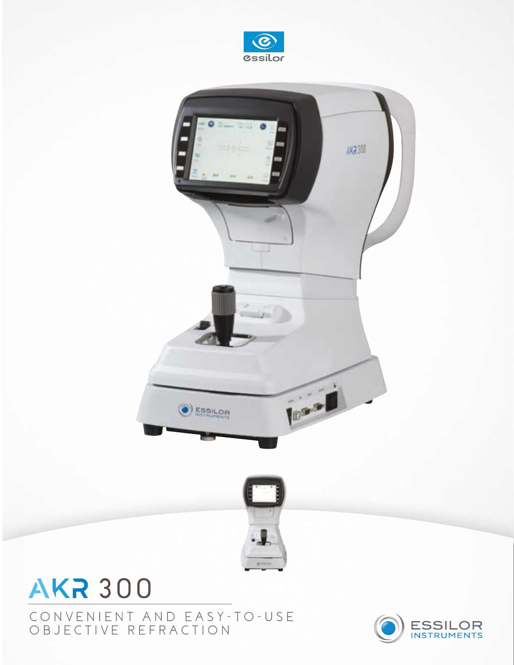





## **AKR 300 C O N V E N I E N T A N D E A S Y - T O - U S E OBJECTIVE REFRACTION**